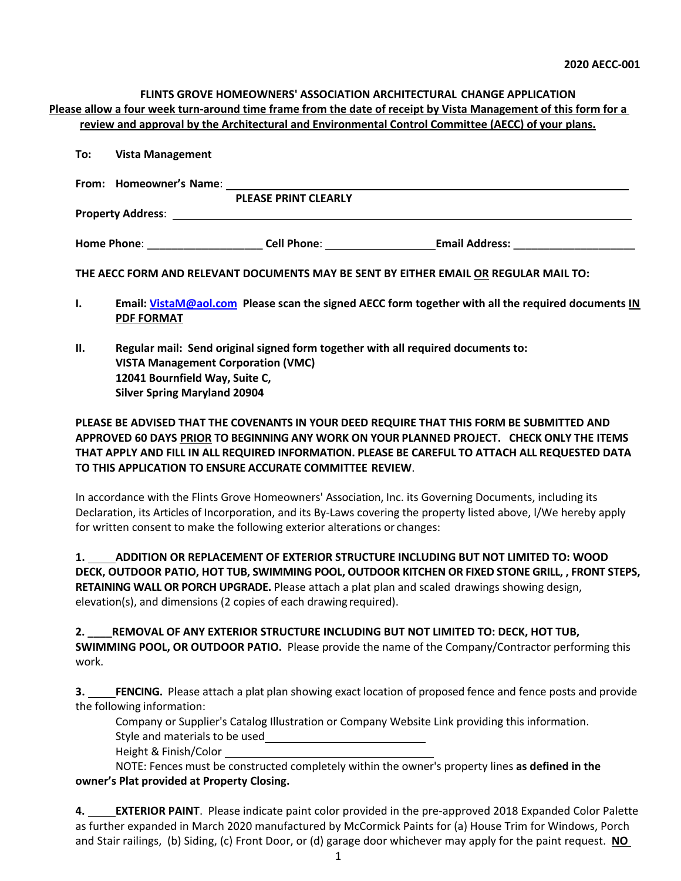### **FLINTS GROVE HOMEOWNERS' ASSOCIATION ARCHITECTURAL CHANGE APPLICATION Please allow a four week turn-around time frame from the date of receipt by Vista Management of this form for a review and approval by the Architectural and Environmental Control Committee (AECC) of your plans.**

| To: |  | <b>Vista Management</b> |
|-----|--|-------------------------|
|-----|--|-------------------------|

| From: Homeowner's Name:  |                             |                       |
|--------------------------|-----------------------------|-----------------------|
|                          | <b>PLEASE PRINT CLEARLY</b> |                       |
| <b>Property Address:</b> |                             |                       |
| <b>Home Phone:</b>       | <b>Cell Phone:</b>          | <b>Email Address:</b> |

**THE AECC FORM AND RELEVANT DOCUMENTS MAY BE SENT BY EITHER EMAIL OR REGULAR MAIL TO:**

- **I. Email: VistaM@aol.com Please scan the signed AECC form together with all the required documents IN PDF FORMAT**
- **II. Regular mail: Send original signed form together with all required documents to: VISTA Management Corporation (VMC) 12041 Bournfield Way, Suite C, Silver Spring Maryland 20904**

### **PLEASE BE ADVISED THAT THE COVENANTS IN YOUR DEED REQUIRE THAT THIS FORM BE SUBMITTED AND APPROVED 60 DAYS PRIOR TO BEGINNING ANY WORK ON YOUR PLANNED PROJECT. CHECK ONLY THE ITEMS THAT APPLY AND FILL IN ALL REQUIRED INFORMATION. PLEASE BE CAREFUL TO ATTACH ALL REQUESTED DATA TO THIS APPLICATION TO ENSURE ACCURATE COMMITTEE REVIEW**.

In accordance with the Flints Grove Homeowners' Association, Inc. its Governing Documents, including its Declaration, its Articles of Incorporation, and its By-Laws covering the property listed above, l/We hereby apply for written consent to make the following exterior alterations or changes:

**1. ADDITION OR REPLACEMENT OF EXTERIOR STRUCTURE INCLUDING BUT NOT LIMITED TO: WOOD DECK, OUTDOOR PATIO, HOT TUB, SWIMMING POOL, OUTDOOR KITCHEN OR FIXED STONE GRILL, , FRONT STEPS, RETAINING WALL OR PORCH UPGRADE.** Please attach a plat plan and scaled drawings showing design, elevation(s), and dimensions (2 copies of each drawing required).

**2. \_\_\_\_REMOVAL OF ANY EXTERIOR STRUCTURE INCLUDING BUT NOT LIMITED TO: DECK, HOT TUB, SWIMMING POOL, OR OUTDOOR PATIO.** Please provide the name of the Company/Contractor performing this work.

**3.** FENCING. Please attach a plat plan showing exact location of proposed fence and fence posts and provide the following information:

Company or Supplier's Catalog Illustration or Company Website Link providing this information.

Style and materials to be used

Height & Finish/Color

NOTE: Fences must be constructed completely within the owner's property lines **as defined in the owner's Plat provided at Property Closing.**

**4. EXTERIOR PAINT**. Please indicate paint color provided in the pre-approved 2018 Expanded Color Palette as further expanded in March 2020 manufactured by McCormick Paints for (a) House Trim for Windows, Porch and Stair railings, (b) Siding, (c) Front Door, or (d) garage door whichever may apply for the paint request. **NO**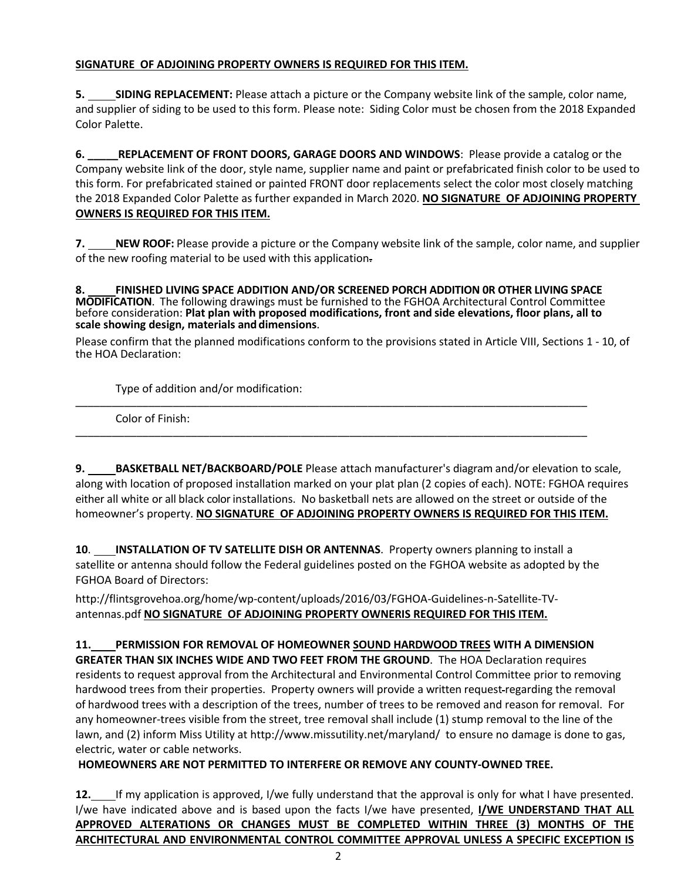## **SIGNATURE OF ADJOINING PROPERTY OWNERS IS REQUIRED FOR THIS ITEM.**

**5. SIDING REPLACEMENT:** Please attach a picture or the Company website link of the sample, color name, and supplier of siding to be used to this form. Please note: Siding Color must be chosen from the 2018 Expanded Color Palette.

**6. \_\_\_\_\_REPLACEMENT OF FRONT DOORS, GARAGE DOORS AND WINDOWS**: Please provide a catalog or the Company website link of the door, style name, supplier name and paint or prefabricated finish color to be used to this form. For prefabricated stained or painted FRONT door replacements select the color most closely matching the 2018 Expanded Color Palette as further expanded in March 2020. **NO SIGNATURE OF ADJOINING PROPERTY OWNERS IS REQUIRED FOR THIS ITEM.**

**7.** NEW ROOF: Please provide a picture or the Company website link of the sample, color name, and supplier of the new roofing material to be used with this application.

**8. FINISHED LIVING SPACE ADDITION AND/OR SCREENED PORCH ADDITION 0R OTHER LIVING SPACE MODIFICATION**. The following drawings must be furnished to the FGHOA Architectural Control Committee before consideration: **Plat plan with proposed modifications, front and side elevations, floor plans, all to scale showing design, materials and dimensions**.

Please confirm that the planned modifications conform to the provisions stated in Article VIII, Sections 1 - 10, of the HOA Declaration:

Type of addition and/or modification: \_\_\_\_\_\_\_\_\_\_\_\_\_\_\_\_\_\_\_\_\_\_\_\_\_\_\_\_\_\_\_\_\_\_\_\_\_\_\_\_\_\_\_\_\_\_\_\_\_\_\_\_\_\_\_\_\_\_\_\_\_\_\_\_\_\_\_\_\_\_\_\_\_\_\_\_\_\_\_\_\_\_\_\_

Color of Finish:

**9. BASKETBALL NET/BACKBOARD/POLE** Please attach manufacturer's diagram and/or elevation to scale, along with location of proposed installation marked on your plat plan (2 copies of each). NOTE: FGHOA requires either all white or all black color installations. No basketball nets are allowed on the street or outside of the homeowner's property. **NO SIGNATURE OF ADJOINING PROPERTY OWNERS IS REQUIRED FOR THIS ITEM.**

**10**. **INSTALLATION OF TV SATELLITE DISH OR ANTENNAS**. Property owners planning to install a satellite or antenna should follow the Federal guidelines posted on the FGHOA website as adopted by the FGHOA Board of Directors:

\_\_\_\_\_\_\_\_\_\_\_\_\_\_\_\_\_\_\_\_\_\_\_\_\_\_\_\_\_\_\_\_\_\_\_\_\_\_\_\_\_\_\_\_\_\_\_\_\_\_\_\_\_\_\_\_\_\_\_\_\_\_\_\_\_\_\_\_\_\_\_\_\_\_\_\_\_\_\_\_\_\_\_\_

http://flintsgrovehoa.org/home/wp-content/uploads/2016/03/FGHOA-Guidelines-n-Satellite-TVantennas.pdf **NO SIGNATURE OF ADJOINING PROPERTY OWNERIS REQUIRED FOR THIS ITEM.**

**11. PERMISSION FOR REMOVAL OF HOMEOWNER SOUND HARDWOOD TREES WITH A DIMENSION GREATER THAN SIX INCHES WIDE AND TWO FEET FROM THE GROUND**. The HOA Declaration requires residents to request approval from the Architectural and Environmental Control Committee prior to removing hardwood trees from their properties. Property owners will provide a written request-regarding the removal of hardwood trees with a description of the trees, number of trees to be removed and reason for removal. For any homeowner-trees visible from the street, tree removal shall include (1) stump removal to the line of the lawn, and (2) inform Miss Utility at http://www.missutility.net/maryland/ to ensure no damage is done to gas, electric, water or cable networks.

# **HOMEOWNERS ARE NOT PERMITTED TO INTERFERE OR REMOVE ANY COUNTY-OWNED TREE.**

**12.** If my application is approved, I/we fully understand that the approval is only for what I have presented. I/we have indicated above and is based upon the facts I/we have presented, **I/WE UNDERSTAND THAT ALL APPROVED ALTERATIONS OR CHANGES MUST BE COMPLETED WITHIN THREE (3) MONTHS OF THE ARCHITECTURAL AND ENVIRONMENTAL CONTROL COMMITTEE APPROVAL UNLESS A SPECIFIC EXCEPTION IS**